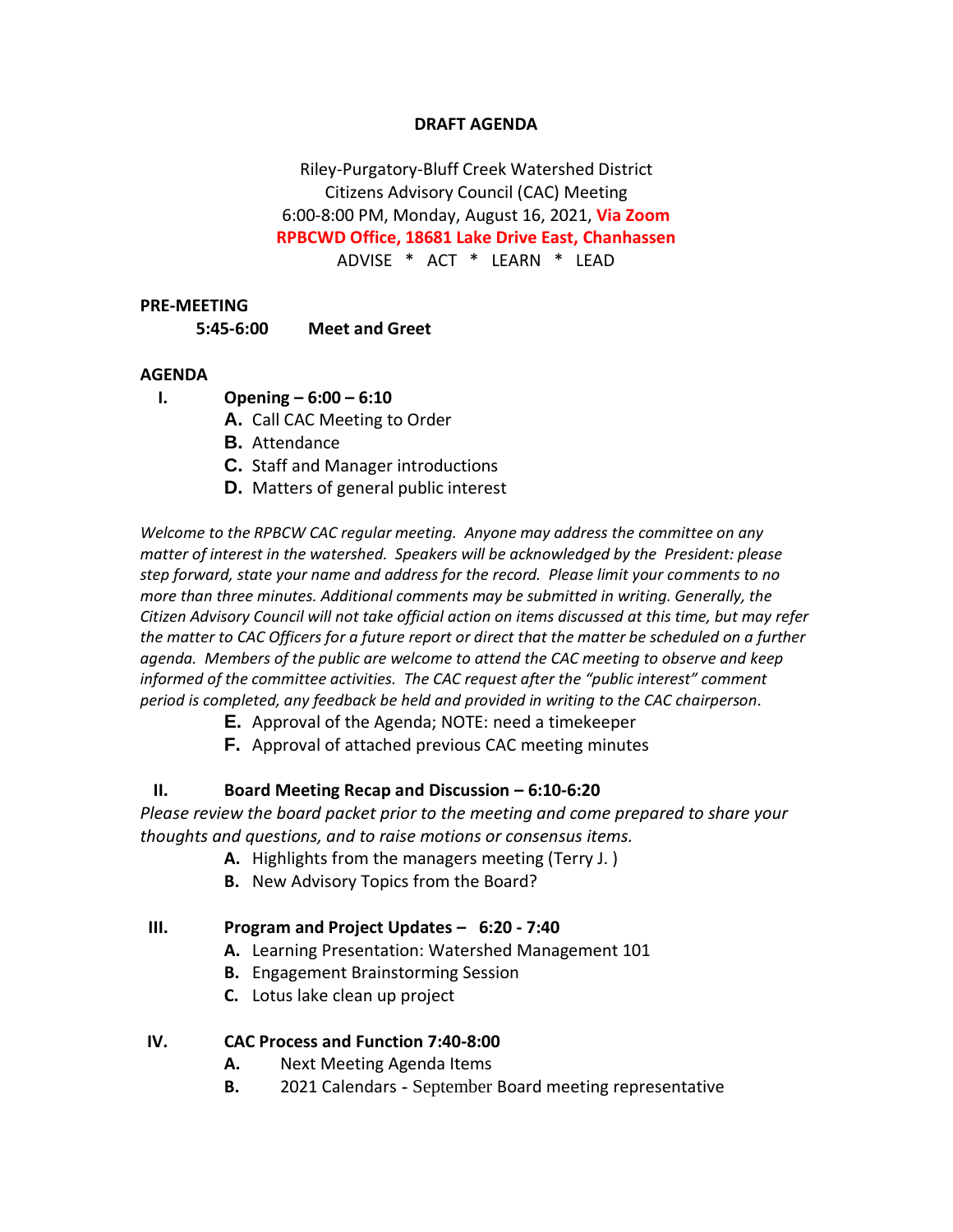# **DRAFT AGENDA**

Riley-Purgatory-Bluff Creek Watershed District Citizens Advisory Council (CAC) Meeting 6:00-8:00 PM, Monday, August 16, 2021, **Via Zoom RPBCWD Office, 18681 Lake Drive East, Chanhassen** ADVISE \* ACT \* LEARN \* LEAD

#### **PRE-MEETING**

**5:45-6:00 Meet and Greet**

#### **AGENDA**

- **I. Opening – 6:00 – 6:10**
	- **A.** Call CAC Meeting to Order
	- **B.** Attendance
	- **C.** Staff and Manager introductions
	- **D.** Matters of general public interest

*Welcome to the RPBCW CAC regular meeting. Anyone may address the committee on any matter of interest in the watershed. Speakers will be acknowledged by the President: please step forward, state your name and address for the record. Please limit your comments to no more than three minutes. Additional comments may be submitted in writing. Generally, the Citizen Advisory Council will not take official action on items discussed at this time, but may refer the matter to CAC Officers for a future report or direct that the matter be scheduled on a further agenda. Members of the public are welcome to attend the CAC meeting to observe and keep informed of the committee activities. The CAC request after the "public interest" comment period is completed, any feedback be held and provided in writing to the CAC chairperson.*

- **E.** Approval of the Agenda; NOTE: need a timekeeper
- **F.** Approval of attached previous CAC meeting minutes

## **II. Board Meeting Recap and Discussion – 6:10-6:20**

*Please review the board packet prior to the meeting and come prepared to share your thoughts and questions, and to raise motions or consensus items.*

- **A.** Highlights from the managers meeting (Terry J. )
- **B.** New Advisory Topics from the Board?

## **III. Program and Project Updates – 6:20 - 7:40**

- **A.** Learning Presentation: Watershed Management 101
- **B.** Engagement Brainstorming Session
- **C.** Lotus lake clean up project

#### **IV. CAC Process and Function 7:40-8:00**

- **A.** Next Meeting Agenda Items
- **B.** 2021 Calendars **-** September Board meeting representative